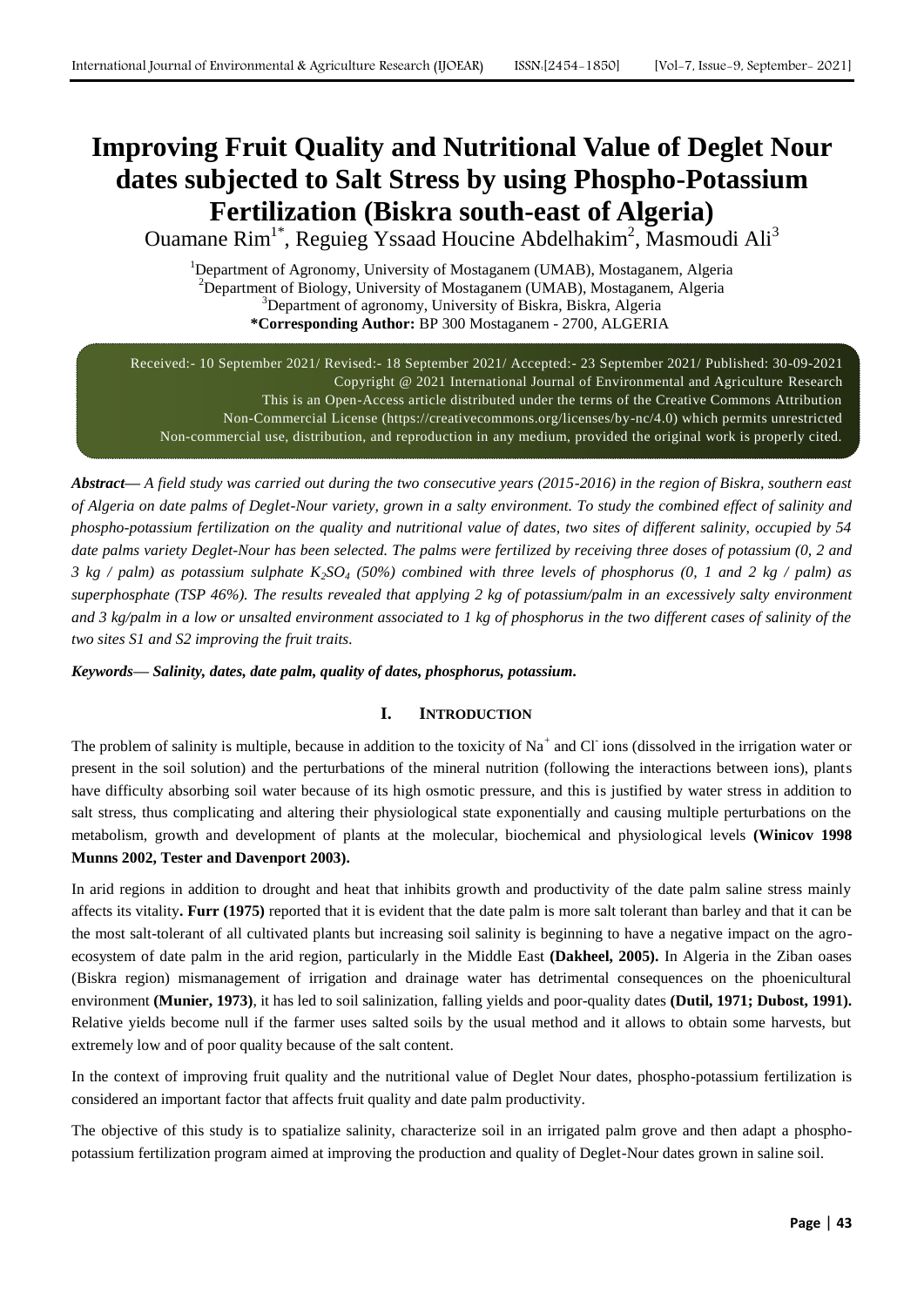# **Improving Fruit Quality and Nutritional Value of Deglet Nour dates subjected to Salt Stress by using Phospho-Potassium Fertilization (Biskra south-east of Algeria)**

Ouamane Rim<sup>1\*</sup>, Reguieg Yssaad Houcine Abdelhakim<sup>2</sup>, Masmoudi Ali<sup>3</sup>

<sup>1</sup>Department of Agronomy, University of Mostaganem (UMAB), Mostaganem, Algeria <sup>2</sup>Department of Biology, University of Mostaganem (UMAB), Mostaganem, Algeria <sup>3</sup>Department of agronomy, University of Biskra, Biskra, Algeria **\*Corresponding Author:** BP 300 Mostaganem - 2700, ALGERIA

Received:- 10 September 2021/ Revised:- 18 September 2021/ Accepted:- 23 September 2021/ Published: 30-09-2021 Copyright @ 2021 International Journal of Environmental and Agriculture Research This is an Open-Access article distributed under the terms of the Creative Commons Attribution Non-Commercial License (https://creativecommons.org/licenses/by-nc/4.0) which permits unrestricted Non-commercial use, distribution, and reproduction in any medium, provided the original work is properly cited.

*Abstract— A field study was carried out during the two consecutive years (2015-2016) in the region of Biskra, southern east of Algeria on date palms of Deglet-Nour variety, grown in a salty environment. To study the combined effect of salinity and phospho-potassium fertilization on the quality and nutritional value of dates, two sites of different salinity, occupied by 54 date palms variety Deglet-Nour has been selected. The palms were fertilized by receiving three doses of potassium (0, 2 and 3 kg / palm) as potassium sulphate*  $K_2SO_4$  *(50%) combined with three levels of phosphorus (0, 1 and 2 kg / palm) as superphosphate (TSP 46%). The results revealed that applying 2 kg of potassium/palm in an excessively salty environment and 3 kg/palm in a low or unsalted environment associated to 1 kg of phosphorus in the two different cases of salinity of the two sites S1 and S2 improving the fruit traits.*

*Keywords— Salinity, dates, date palm, quality of dates, phosphorus, potassium.*

# **I. INTRODUCTION**

The problem of salinity is multiple, because in addition to the toxicity of  $Na^+$  and Cl ions (dissolved in the irrigation water or present in the soil solution) and the perturbations of the mineral nutrition (following the interactions between ions), plants have difficulty absorbing soil water because of its high osmotic pressure, and this is justified by water stress in addition to salt stress, thus complicating and altering their physiological state exponentially and causing multiple perturbations on the metabolism, growth and development of plants at the molecular, biochemical and physiological levels **(Winicov 1998 Munns 2002, Tester and Davenport 2003).**

In arid regions in addition to drought and heat that inhibits growth and productivity of the date palm saline stress mainly affects its vitality**. Furr (1975)** reported that it is evident that the date palm is more salt tolerant than barley and that it can be the most salt-tolerant of all cultivated plants but increasing soil salinity is beginning to have a negative impact on the agroecosystem of date palm in the arid region, particularly in the Middle East **(Dakheel, 2005).** In Algeria in the Ziban oases (Biskra region) mismanagement of irrigation and drainage water has detrimental consequences on the phoenicultural environment **(Munier, 1973)**, it has led to soil salinization, falling yields and poor-quality dates **(Dutil, 1971; Dubost, 1991).** Relative yields become null if the farmer uses salted soils by the usual method and it allows to obtain some harvests, but extremely low and of poor quality because of the salt content.

In the context of improving fruit quality and the nutritional value of Deglet Nour dates, phospho-potassium fertilization is considered an important factor that affects fruit quality and date palm productivity.

The objective of this study is to spatialize salinity, characterize soil in an irrigated palm grove and then adapt a phosphopotassium fertilization program aimed at improving the production and quality of Deglet-Nour dates grown in saline soil.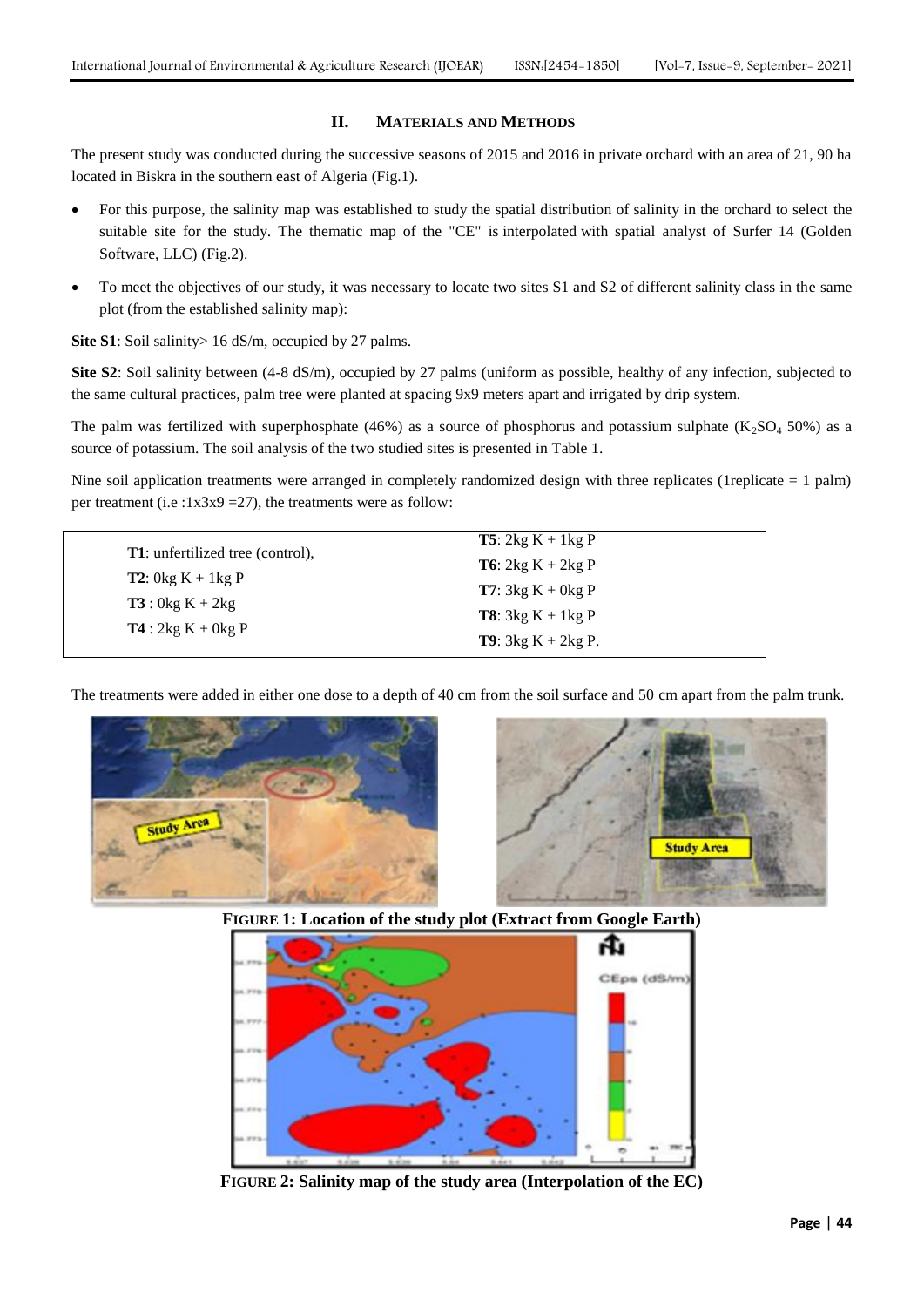# **II. MATERIALS AND METHODS**

The present study was conducted during the successive seasons of 2015 and 2016 in private orchard with an area of 21, 90 ha located in Biskra in the southern east of Algeria (Fig.1).

- For this purpose, the salinity map was established to study the spatial distribution of salinity in the orchard to select the suitable site for the study. The thematic map of the "CE" is interpolated with spatial analyst of Surfer 14 (Golden Software, LLC) (Fig.2).
- To meet the objectives of our study, it was necessary to locate two sites S1 and S2 of different salinity class in the same plot (from the established salinity map):

**Site S1**: Soil salinity > 16 dS/m, occupied by 27 palms.

**Site S2**: Soil salinity between (4-8 dS/m), occupied by 27 palms (uniform as possible, healthy of any infection, subjected to the same cultural practices, palm tree were planted at spacing 9x9 meters apart and irrigated by drip system.

The palm was fertilized with superphosphate (46%) as a source of phosphorus and potassium sulphate (K<sub>2</sub>SO<sub>4</sub> 50%) as a source of potassium. The soil analysis of the two studied sites is presented in Table 1.

Nine soil application treatments were arranged in completely randomized design with three replicates (1replicate  $= 1$  palm) per treatment (i.e :1x3x9 = 27), the treatments were as follow:

|                                          | <b>T5</b> : $2kg K + 1kg P$   |
|------------------------------------------|-------------------------------|
| <b>T1</b> : unfertilized tree (control), | <b>T6</b> : $2kg K + 2kg P$   |
| <b>T2</b> : $0kg K + 1kg P$              | <b>T7</b> : $3kg K + 0kg P$   |
| <b>T3</b> : $0kg K + 2kg$                | <b>T8</b> : $3kg K + 1kg P$   |
| $T4:2kg K + 0kg P$                       | <b>T9</b> : $3kg K + 2kg P$ . |

The treatments were added in either one dose to a depth of 40 cm from the soil surface and 50 cm apart from the palm trunk.





**FIGURE 1: Location of the study plot (Extract from Google Earth)**



**FIGURE 2: Salinity map of the study area (Interpolation of the EC)**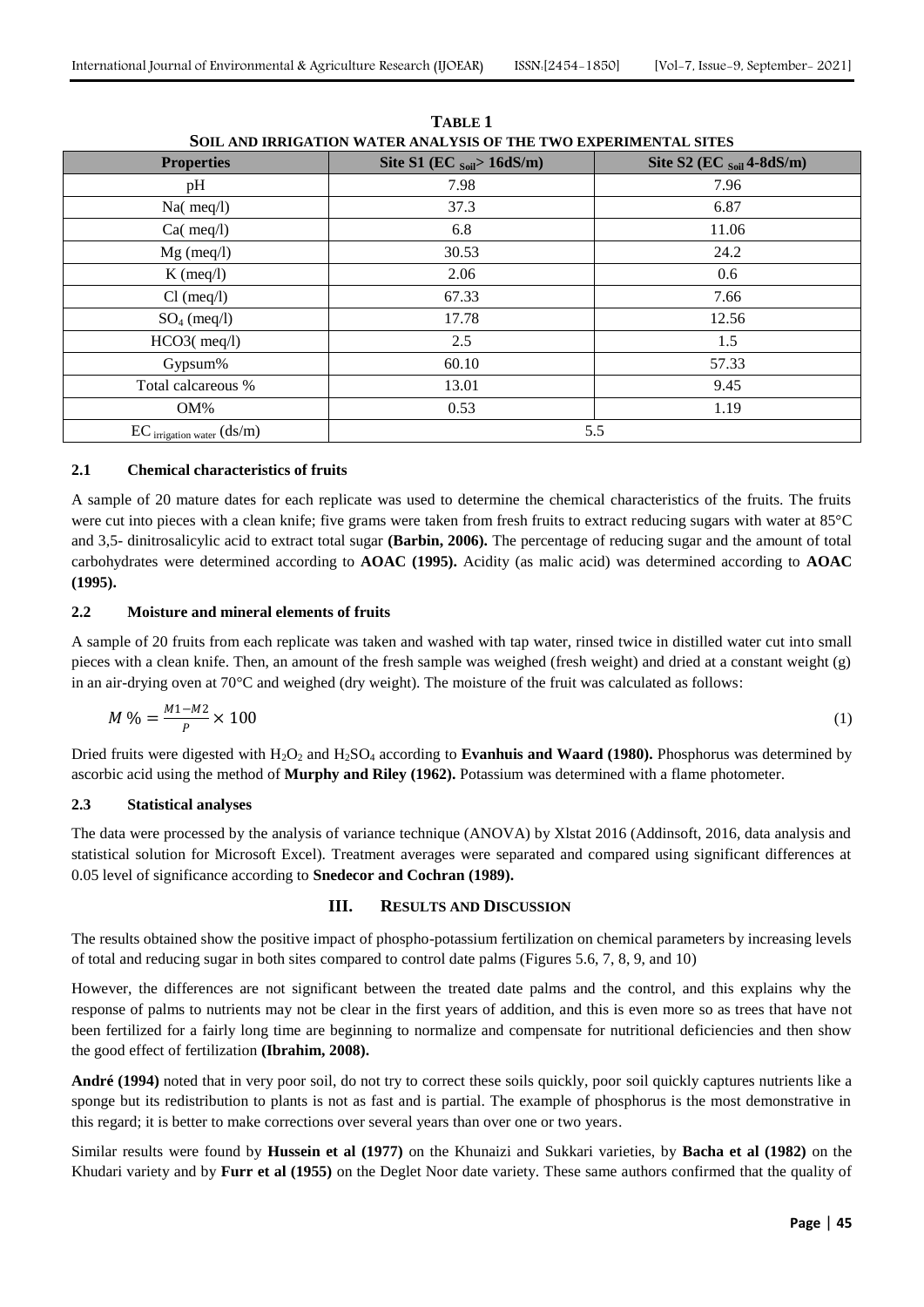| SUIL AND IKKIGATIUN WATEK ANALTSIS OF THE TWO EXPEKIMENTAL SITES |                                        |                                       |  |
|------------------------------------------------------------------|----------------------------------------|---------------------------------------|--|
| <b>Properties</b>                                                | Site S1 (EC $_{\text{Soil}}$ > 16dS/m) | Site S2 (EC $_{\text{Soil}}$ 4-8dS/m) |  |
| pH                                                               | 7.98                                   | 7.96                                  |  |
| $Na$ (meq $/l$ )                                                 | 37.3                                   | 6.87                                  |  |
| $Ca$ (meq $/l$ )                                                 | 6.8                                    | 11.06                                 |  |
| $Mg$ (meq/l)                                                     | 30.53                                  | 24.2                                  |  |
| $K$ (meq/l)                                                      | 2.06                                   | 0.6                                   |  |
| $Cl$ (meq/l)                                                     | 67.33                                  | 7.66                                  |  |
| $SO_4$ (meq/l)                                                   | 17.78                                  | 12.56                                 |  |
| $HCO3$ (meq $\ell$ l)                                            | 2.5                                    | 1.5                                   |  |
| Gypsum%                                                          | 60.10                                  | 57.33                                 |  |
| Total calcareous %                                               | 13.01                                  | 9.45                                  |  |
| $OM\%$                                                           | 0.53                                   | 1.19                                  |  |
| $EC$ irrigation water $(ds/m)$                                   | 5.5                                    |                                       |  |

**TABLE 1 SOIL AND IRRIGATION WATER ANALYSIS OF THE TWO EXPERIMENTAL SITES**

#### **2.1 Chemical characteristics of fruits**

A sample of 20 mature dates for each replicate was used to determine the chemical characteristics of the fruits. The fruits were cut into pieces with a clean knife; five grams were taken from fresh fruits to extract reducing sugars with water at 85°C and 3,5- dinitrosalicylic acid to extract total sugar **(Barbin, 2006).** The percentage of reducing sugar and the amount of total carbohydrates were determined according to **AOAC (1995).** Acidity (as malic acid) was determined according to **AOAC (1995).**

## **2.2 Moisture and mineral elements of fruits**

A sample of 20 fruits from each replicate was taken and washed with tap water, rinsed twice in distilled water cut into small pieces with a clean knife. Then, an amount of the fresh sample was weighed (fresh weight) and dried at a constant weight (g) in an air-drying oven at 70°C and weighed (dry weight). The moisture of the fruit was calculated as follows:

$$
M\% = \frac{M_1 - M_2}{P} \times 100\tag{1}
$$

Dried fruits were digested with H<sub>2</sub>O<sub>2</sub> and H<sub>2</sub>SO<sub>4</sub> according to **Evanhuis and Waard (1980).** Phosphorus was determined by ascorbic acid using the method of **Murphy and Riley (1962).** Potassium was determined with a flame photometer.

#### **2.3 Statistical analyses**

The data were processed by the analysis of variance technique (ANOVA) by Xlstat 2016 (Addinsoft, 2016, data analysis and statistical solution for Microsoft Excel). Treatment averages were separated and compared using significant differences at 0.05 level of significance according to **Snedecor and Cochran (1989).**

## **III. RESULTS AND DISCUSSION**

The results obtained show the positive impact of phospho-potassium fertilization on chemical parameters by increasing levels of total and reducing sugar in both sites compared to control date palms (Figures 5.6, 7, 8, 9, and 10)

However, the differences are not significant between the treated date palms and the control, and this explains why the response of palms to nutrients may not be clear in the first years of addition, and this is even more so as trees that have not been fertilized for a fairly long time are beginning to normalize and compensate for nutritional deficiencies and then show the good effect of fertilization **(Ibrahim, 2008).**

**André (1994)** noted that in very poor soil, do not try to correct these soils quickly, poor soil quickly captures nutrients like a sponge but its redistribution to plants is not as fast and is partial. The example of phosphorus is the most demonstrative in this regard; it is better to make corrections over several years than over one or two years.

Similar results were found by **Hussein et al (1977)** on the Khunaizi and Sukkari varieties, by **Bacha et al (1982)** on the Khudari variety and by **Furr et al (1955)** on the Deglet Noor date variety. These same authors confirmed that the quality of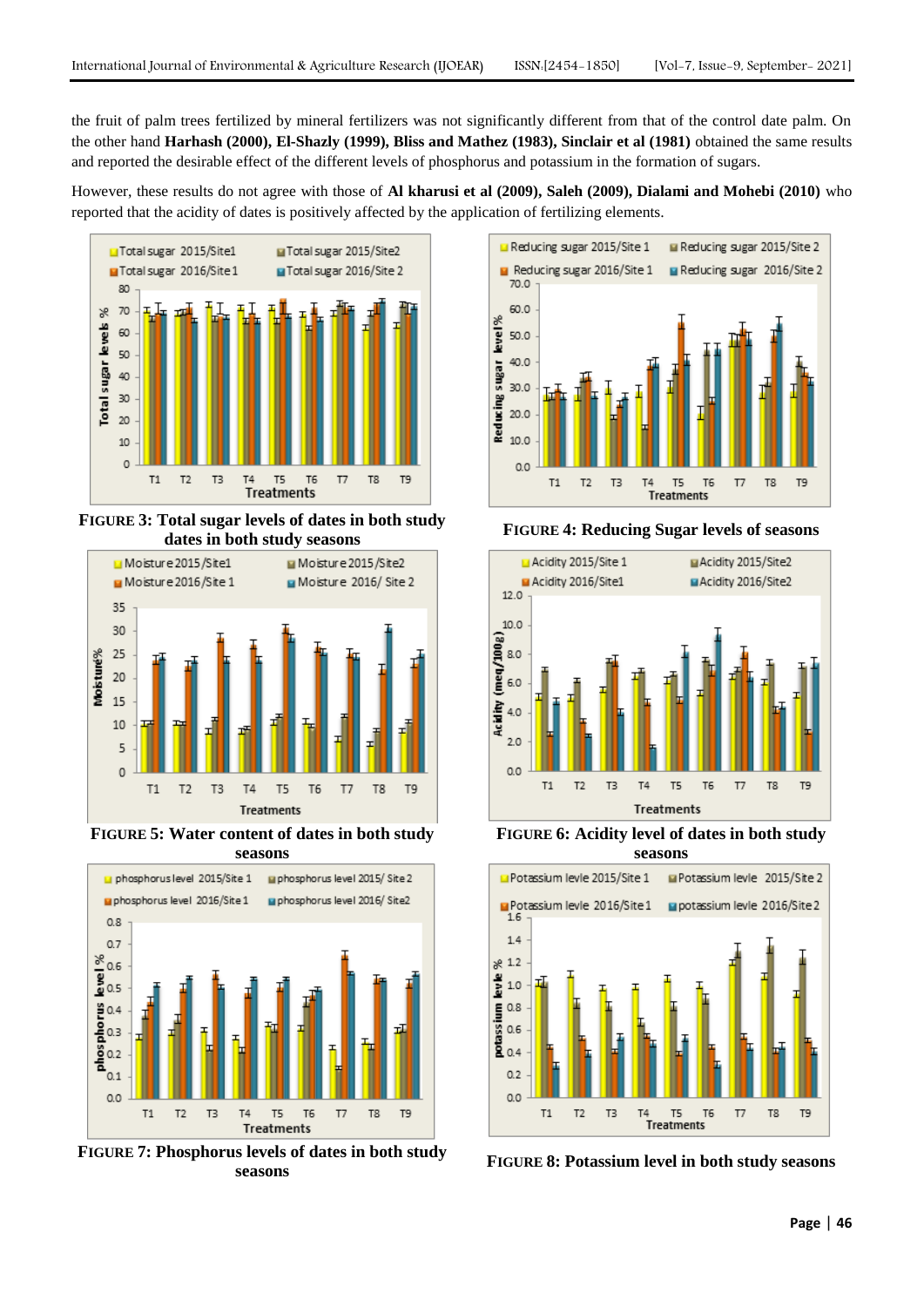the fruit of palm trees fertilized by mineral fertilizers was not significantly different from that of the control date palm. On the other hand **Harhash (2000), El-Shazly (1999), Bliss and Mathez (1983), Sinclair et al (1981)** obtained the same results and reported the desirable effect of the different levels of phosphorus and potassium in the formation of sugars.

However, these results do not agree with those of **Al kharusi et al (2009), Saleh (2009), Dialami and Mohebi (2010)** who reported that the acidity of dates is positively affected by the application of fertilizing elements.



**FIGURE 3: Total sugar levels of dates in both study dates in both study seasons <sup>F</sup>IGURE 4: Reducing Sugar levels of seasons**



**FIGURE 5: Water content of dates in both study seasons**



**FIGURE 7: Phosphorus levels of dates in both study seasons**





**FIGURE 6: Acidity level of dates in both study seasons**



**FIGURE 8: Potassium level in both study seasons**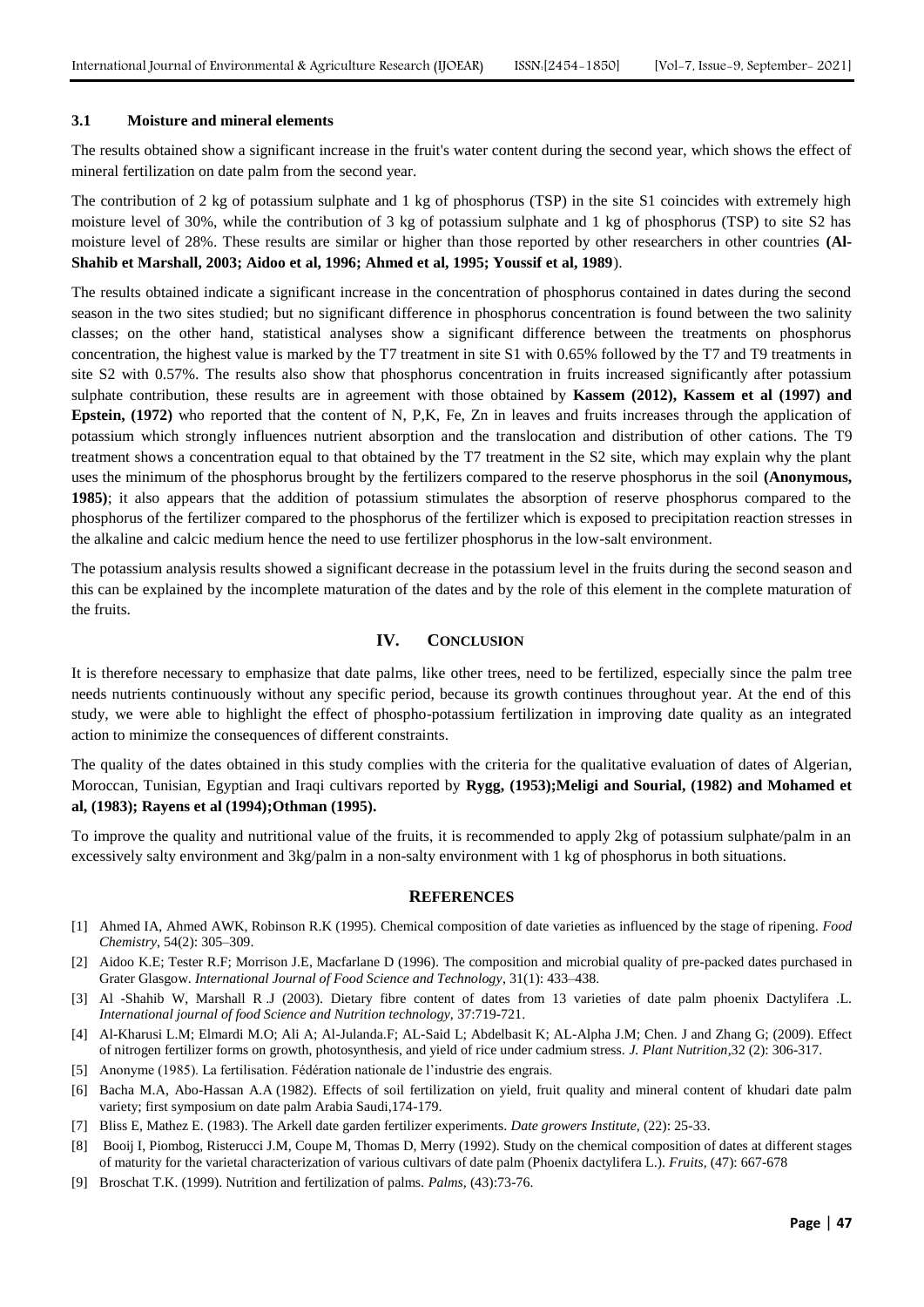#### **3.1 Moisture and mineral elements**

The results obtained show a significant increase in the fruit's water content during the second year, which shows the effect of mineral fertilization on date palm from the second year.

The contribution of 2 kg of potassium sulphate and 1 kg of phosphorus (TSP) in the site S1 coincides with extremely high moisture level of 30%, while the contribution of 3 kg of potassium sulphate and 1 kg of phosphorus (TSP) to site S2 has moisture level of 28%. These results are similar or higher than those reported by other researchers in other countries **(Al-Shahib et Marshall, 2003; Aidoo et al, 1996; Ahmed et al, 1995; Youssif et al, 1989**).

The results obtained indicate a significant increase in the concentration of phosphorus contained in dates during the second season in the two sites studied; but no significant difference in phosphorus concentration is found between the two salinity classes; on the other hand, statistical analyses show a significant difference between the treatments on phosphorus concentration, the highest value is marked by the T7 treatment in site S1 with 0.65% followed by the T7 and T9 treatments in site S2 with 0.57%. The results also show that phosphorus concentration in fruits increased significantly after potassium sulphate contribution, these results are in agreement with those obtained by **Kassem (2012), Kassem et al (1997) and Epstein, (1972)** who reported that the content of N, P,K, Fe, Zn in leaves and fruits increases through the application of potassium which strongly influences nutrient absorption and the translocation and distribution of other cations. The T9 treatment shows a concentration equal to that obtained by the T7 treatment in the S2 site, which may explain why the plant uses the minimum of the phosphorus brought by the fertilizers compared to the reserve phosphorus in the soil **(Anonymous, 1985)**; it also appears that the addition of potassium stimulates the absorption of reserve phosphorus compared to the phosphorus of the fertilizer compared to the phosphorus of the fertilizer which is exposed to precipitation reaction stresses in the alkaline and calcic medium hence the need to use fertilizer phosphorus in the low-salt environment.

The potassium analysis results showed a significant decrease in the potassium level in the fruits during the second season and this can be explained by the incomplete maturation of the dates and by the role of this element in the complete maturation of the fruits.

## **IV. CONCLUSION**

It is therefore necessary to emphasize that date palms, like other trees, need to be fertilized, especially since the palm tree needs nutrients continuously without any specific period, because its growth continues throughout year. At the end of this study, we were able to highlight the effect of phospho-potassium fertilization in improving date quality as an integrated action to minimize the consequences of different constraints.

The quality of the dates obtained in this study complies with the criteria for the qualitative evaluation of dates of Algerian, Moroccan, Tunisian, Egyptian and Iraqi cultivars reported by **Rygg, (1953);Meligi and Sourial, (1982) and Mohamed et al, (1983); Rayens et al (1994);Othman (1995).**

To improve the quality and nutritional value of the fruits, it is recommended to apply 2kg of potassium sulphate/palm in an excessively salty environment and 3kg/palm in a non-salty environment with 1 kg of phosphorus in both situations.

#### **REFERENCES**

- [1] Ahmed IA, Ahmed AWK, Robinson R.K (1995). Chemical composition of date varieties as influenced by the stage of ripening. *Food Chemistry*, 54(2): 305–309.
- [2] Aidoo K.E; Tester R.F; Morrison J.E, Macfarlane D (1996). The composition and microbial quality of pre-packed dates purchased in Grater Glasgow. *International Journal of Food Science and Technology*, 31(1): 433–438.
- [3] Al -Shahib W, Marshall R .J (2003). Dietary fibre content of dates from 13 varieties of date palm phoenix Dactylifera .L. *International journal of food Science and Nutrition technology,* 37:719-721.
- [4] Al-Kharusi L.M; Elmardi M.O; Ali A; Al-Julanda.F; AL-Said L; Abdelbasit K; AL-Alpha J.M; Chen. J and Zhang G; (2009). Effect of nitrogen fertilizer forms on growth, photosynthesis, and yield of rice under cadmium stress. *J. Plant Nutrition*,32 (2): 306-317.
- [5] Anonyme (1985). La fertilisation. Fédération nationale de l'industrie des engrais.
- [6] Bacha M.A, Abo-Hassan A.A (1982). Effects of soil fertilization on yield, fruit quality and mineral content of khudari date palm variety; first symposium on date palm Arabia Saudi,174-179.
- [7] Bliss E, Mathez E. (1983). The Arkell date garden fertilizer experiments. *Date growers Institute*, (22): 25-33.
- [8] Booij I, Piombog, Risterucci J.M, Coupe M, Thomas D, Merry (1992). Study on the chemical composition of dates at different stages of maturity for the varietal characterization of various cultivars of date palm (Phoenix dactylifera L.). *Fruits,* (47): 667-678
- [9] Broschat T.K. (1999). Nutrition and fertilization of palms. *Palms,* (43):73-76.